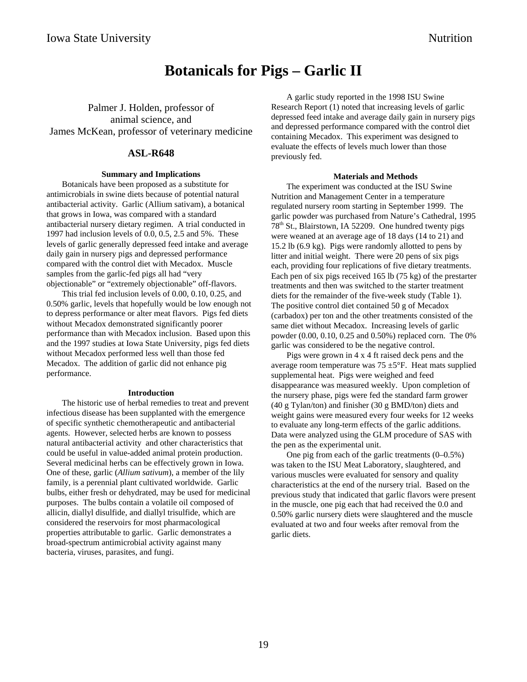# **Botanicals for Pigs – Garlic II**

Palmer J. Holden, professor of animal science, and James McKean, professor of veterinary medicine

## **ASL-R648**

#### **Summary and Implications**

Botanicals have been proposed as a substitute for antimicrobials in swine diets because of potential natural antibacterial activity. Garlic (Allium sativam), a botanical that grows in Iowa, was compared with a standard antibacterial nursery dietary regimen. A trial conducted in 1997 had inclusion levels of 0.0, 0.5, 2.5 and 5%. These levels of garlic generally depressed feed intake and average daily gain in nursery pigs and depressed performance compared with the control diet with Mecadox. Muscle samples from the garlic-fed pigs all had "very objectionable" or "extremely objectionable" off-flavors.

This trial fed inclusion levels of 0.00, 0.10, 0.25, and 0.50% garlic, levels that hopefully would be low enough not to depress performance or alter meat flavors. Pigs fed diets without Mecadox demonstrated significantly poorer performance than with Mecadox inclusion. Based upon this and the 1997 studies at Iowa State University, pigs fed diets without Mecadox performed less well than those fed Mecadox. The addition of garlic did not enhance pig performance.

#### **Introduction**

The historic use of herbal remedies to treat and prevent infectious disease has been supplanted with the emergence of specific synthetic chemotherapeutic and antibacterial agents. However, selected herbs are known to possess natural antibacterial activity and other characteristics that could be useful in value-added animal protein production. Several medicinal herbs can be effectively grown in Iowa. One of these, garlic (*Allium sativum*), a member of the lily family, is a perennial plant cultivated worldwide. Garlic bulbs, either fresh or dehydrated, may be used for medicinal purposes. The bulbs contain a volatile oil composed of allicin, diallyl disulfide, and diallyl trisulfide, which are considered the reservoirs for most pharmacological properties attributable to garlic. Garlic demonstrates a broad-spectrum antimicrobial activity against many bacteria, viruses, parasites, and fungi.

A garlic study reported in the 1998 ISU Swine Research Report (1) noted that increasing levels of garlic depressed feed intake and average daily gain in nursery pigs and depressed performance compared with the control diet containing Mecadox. This experiment was designed to evaluate the effects of levels much lower than those previously fed.

#### **Materials and Methods**

The experiment was conducted at the ISU Swine Nutrition and Management Center in a temperature regulated nursery room starting in September 1999. The garlic powder was purchased from Nature's Cathedral, 1995 78th St., Blairstown, IA 52209. One hundred twenty pigs were weaned at an average age of 18 days (14 to 21) and 15.2 lb (6.9 kg). Pigs were randomly allotted to pens by litter and initial weight. There were 20 pens of six pigs each, providing four replications of five dietary treatments. Each pen of six pigs received 165 lb (75 kg) of the prestarter treatments and then was switched to the starter treatment diets for the remainder of the five-week study (Table 1). The positive control diet contained 50 g of Mecadox (carbadox) per ton and the other treatments consisted of the same diet without Mecadox. Increasing levels of garlic powder (0.00, 0.10, 0.25 and 0.50%) replaced corn. The 0% garlic was considered to be the negative control.

Pigs were grown in 4 x 4 ft raised deck pens and the average room temperature was  $75 \pm 5$ °F. Heat mats supplied supplemental heat. Pigs were weighed and feed disappearance was measured weekly. Upon completion of the nursery phase, pigs were fed the standard farm grower (40 g Tylan/ton) and finisher (30 g BMD/ton) diets and weight gains were measured every four weeks for 12 weeks to evaluate any long-term effects of the garlic additions. Data were analyzed using the GLM procedure of SAS with the pen as the experimental unit.

One pig from each of the garlic treatments (0–0.5%) was taken to the ISU Meat Laboratory, slaughtered, and various muscles were evaluated for sensory and quality characteristics at the end of the nursery trial. Based on the previous study that indicated that garlic flavors were present in the muscle, one pig each that had received the 0.0 and 0.50% garlic nursery diets were slaughtered and the muscle evaluated at two and four weeks after removal from the garlic diets.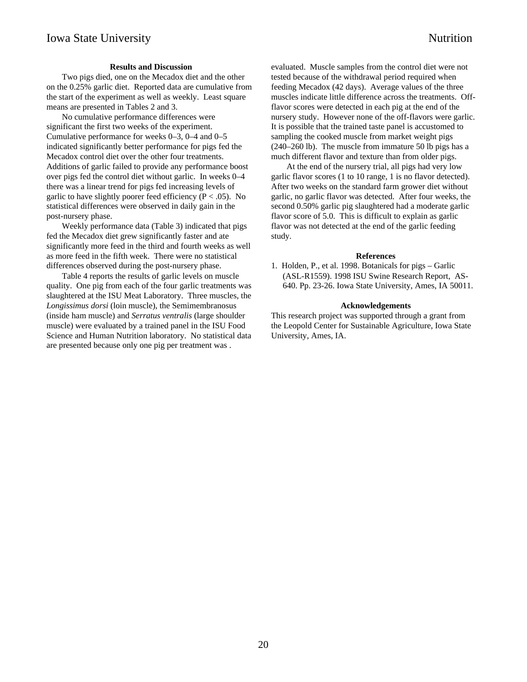### **Results and Discussion**

Two pigs died, one on the Mecadox diet and the other on the 0.25% garlic diet. Reported data are cumulative from the start of the experiment as well as weekly. Least square means are presented in Tables 2 and 3.

No cumulative performance differences were significant the first two weeks of the experiment. Cumulative performance for weeks 0–3, 0–4 and 0–5 indicated significantly better performance for pigs fed the Mecadox control diet over the other four treatments. Additions of garlic failed to provide any performance boost over pigs fed the control diet without garlic. In weeks 0–4 there was a linear trend for pigs fed increasing levels of garlic to have slightly poorer feed efficiency ( $P < .05$ ). No statistical differences were observed in daily gain in the post-nursery phase.

Weekly performance data (Table 3) indicated that pigs fed the Mecadox diet grew significantly faster and ate significantly more feed in the third and fourth weeks as well as more feed in the fifth week. There were no statistical differences observed during the post-nursery phase.

Table 4 reports the results of garlic levels on muscle quality. One pig from each of the four garlic treatments was slaughtered at the ISU Meat Laboratory. Three muscles, the *Longissimus dorsi* (loin muscle), the Semimembranosus (inside ham muscle) and *Serratus ventralis* (large shoulder muscle) were evaluated by a trained panel in the ISU Food Science and Human Nutrition laboratory. No statistical data are presented because only one pig per treatment was .

evaluated. Muscle samples from the control diet were not tested because of the withdrawal period required when feeding Mecadox (42 days). Average values of the three muscles indicate little difference across the treatments. Offflavor scores were detected in each pig at the end of the nursery study. However none of the off-flavors were garlic. It is possible that the trained taste panel is accustomed to sampling the cooked muscle from market weight pigs (240–260 lb). The muscle from immature 50 lb pigs has a much different flavor and texture than from older pigs.

At the end of the nursery trial, all pigs had very low garlic flavor scores (1 to 10 range, 1 is no flavor detected). After two weeks on the standard farm grower diet without garlic, no garlic flavor was detected. After four weeks, the second 0.50% garlic pig slaughtered had a moderate garlic flavor score of 5.0. This is difficult to explain as garlic flavor was not detected at the end of the garlic feeding study.

#### **References**

1. Holden, P., et al. 1998. Botanicals for pigs – Garlic (ASL-R1559). 1998 ISU Swine Research Report, AS-640. Pp. 23-26. Iowa State University, Ames, IA 50011.

#### **Acknowledgements**

This research project was supported through a grant from the Leopold Center for Sustainable Agriculture, Iowa State University, Ames, IA.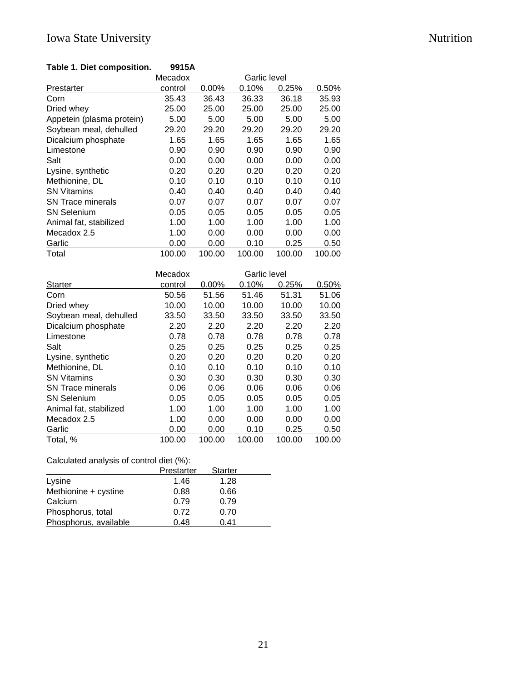# Iowa State University Nutrition

## **Table 1. Diet composition. 9915A**

|                           | Mecadox |          | Garlic level |        |        |
|---------------------------|---------|----------|--------------|--------|--------|
| Prestarter                | control | $0.00\%$ | 0.10%        | 0.25%  | 0.50%  |
| Corn                      | 35.43   | 36.43    | 36.33        | 36.18  | 35.93  |
| Dried whey                | 25.00   | 25.00    | 25.00        | 25.00  | 25.00  |
| Appetein (plasma protein) | 5.00    | 5.00     | 5.00         | 5.00   | 5.00   |
| Soybean meal, dehulled    | 29.20   | 29.20    | 29.20        | 29.20  | 29.20  |
| Dicalcium phosphate       | 1.65    | 1.65     | 1.65         | 1.65   | 1.65   |
| Limestone                 | 0.90    | 0.90     | 0.90         | 0.90   | 0.90   |
| Salt                      | 0.00    | 0.00     | 0.00         | 0.00   | 0.00   |
| Lysine, synthetic         | 0.20    | 0.20     | 0.20         | 0.20   | 0.20   |
| Methionine, DL            | 0.10    | 0.10     | 0.10         | 0.10   | 0.10   |
| <b>SN Vitamins</b>        | 0.40    | 0.40     | 0.40         | 0.40   | 0.40   |
| <b>SN Trace minerals</b>  | 0.07    | 0.07     | 0.07         | 0.07   | 0.07   |
| <b>SN Selenium</b>        | 0.05    | 0.05     | 0.05         | 0.05   | 0.05   |
| Animal fat, stabilized    | 1.00    | 1.00     | 1.00         | 1.00   | 1.00   |
| Mecadox 2.5               | 1.00    | 0.00     | 0.00         | 0.00   | 0.00   |
| Garlic                    | 0.00    | 0.00     | 0.10         | 0.25   | 0.50   |
| Total                     | 100.00  | 100.00   | 100.00       | 100.00 | 100.00 |

|                          | Mecadox |          | Garlic level |        |        |
|--------------------------|---------|----------|--------------|--------|--------|
| <b>Starter</b>           | control | $0.00\%$ | 0.10%        | 0.25%  | 0.50%  |
| Corn                     | 50.56   | 51.56    | 51.46        | 51.31  | 51.06  |
| Dried whey               | 10.00   | 10.00    | 10.00        | 10.00  | 10.00  |
| Soybean meal, dehulled   | 33.50   | 33.50    | 33.50        | 33.50  | 33.50  |
| Dicalcium phosphate      | 2.20    | 2.20     | 2.20         | 2.20   | 2.20   |
| Limestone                | 0.78    | 0.78     | 0.78         | 0.78   | 0.78   |
| Salt                     | 0.25    | 0.25     | 0.25         | 0.25   | 0.25   |
| Lysine, synthetic        | 0.20    | 0.20     | 0.20         | 0.20   | 0.20   |
| Methionine, DL           | 0.10    | 0.10     | 0.10         | 0.10   | 0.10   |
| <b>SN Vitamins</b>       | 0.30    | 0.30     | 0.30         | 0.30   | 0.30   |
| <b>SN Trace minerals</b> | 0.06    | 0.06     | 0.06         | 0.06   | 0.06   |
| <b>SN Selenium</b>       | 0.05    | 0.05     | 0.05         | 0.05   | 0.05   |
| Animal fat, stabilized   | 1.00    | 1.00     | 1.00         | 1.00   | 1.00   |
| Mecadox 2.5              | 1.00    | 0.00     | 0.00         | 0.00   | 0.00   |
| Garlic                   | 0.00    | 0.00     | 0.10         | 0.25   | 0.50   |
| Total, %                 | 100.00  | 100.00   | 100.00       | 100.00 | 100.00 |

# Calculated analysis of control diet (%):

|                       | Prestarter | <b>Starter</b> |  |
|-----------------------|------------|----------------|--|
| Lysine                | 1.46       | 1.28           |  |
| Methionine + cystine  | 0.88       | 0.66           |  |
| Calcium               | 0.79       | 0.79           |  |
| Phosphorus, total     | 0.72       | 0.70           |  |
| Phosphorus, available | 0.48       | 0.41           |  |